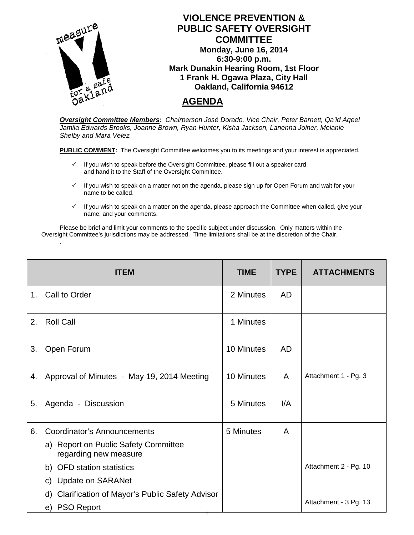

*Oversight Committee Members: Chairperson José Dorado, Vice Chair, Peter Barnett, Qa'id Aqeel Jamila Edwards Brooks, Joanne Brown, Ryan Hunter, Kisha Jackson, Lanenna Joiner, Melanie Shelby and Mara Velez.*

**PUBLIC COMMENT:** The Oversight Committee welcomes you to its meetings and your interest is appreciated.

- $\checkmark$  If you wish to speak before the Oversight Committee, please fill out a speaker card and hand it to the Staff of the Oversight Committee.
- $\checkmark$  If you wish to speak on a matter not on the agenda, please sign up for Open Forum and wait for your name to be called.
- $\checkmark$  If you wish to speak on a matter on the agenda, please approach the Committee when called, give your name, and your comments.

Please be brief and limit your comments to the specific subject under discussion. Only matters within the Oversight Committee's jurisdictions may be addressed. Time limitations shall be at the discretion of the Chair.

*.*

|                | <b>ITEM</b>                                                   | <b>TIME</b> | <b>TYPE</b> | <b>ATTACHMENTS</b>    |
|----------------|---------------------------------------------------------------|-------------|-------------|-----------------------|
| 1 <sub>1</sub> | <b>Call to Order</b>                                          | 2 Minutes   | <b>AD</b>   |                       |
| 2.             | <b>Roll Call</b>                                              | 1 Minutes   |             |                       |
| 3.             | Open Forum                                                    | 10 Minutes  | <b>AD</b>   |                       |
| 4.             | Approval of Minutes - May 19, 2014 Meeting                    | 10 Minutes  | A           | Attachment 1 - Pg. 3  |
| 5.             | Agenda - Discussion                                           | 5 Minutes   | I/A         |                       |
| 6.             | <b>Coordinator's Announcements</b>                            | 5 Minutes   | A           |                       |
|                | a) Report on Public Safety Committee<br>regarding new measure |             |             |                       |
|                | b) OFD station statistics                                     |             |             | Attachment 2 - Pg. 10 |
|                | c) Update on SARANet                                          |             |             |                       |
|                | <b>Clarification of Mayor's Public Safety Advisor</b><br>d)   |             |             |                       |
|                | e) PSO Report                                                 |             |             | Attachment - 3 Pg. 13 |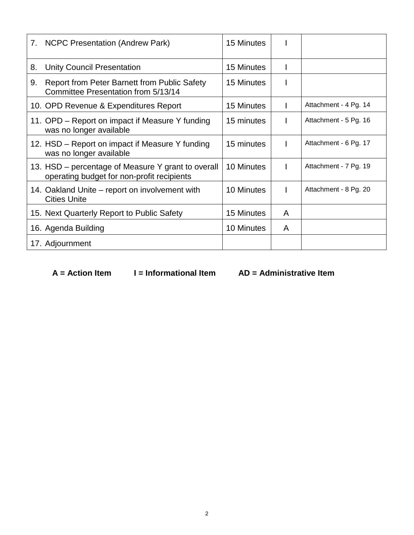|    | 7. NCPC Presentation (Andrew Park)                                                               | 15 Minutes |   |                       |
|----|--------------------------------------------------------------------------------------------------|------------|---|-----------------------|
| 8. | <b>Unity Council Presentation</b>                                                                | 15 Minutes |   |                       |
| 9. | Report from Peter Barnett from Public Safety<br>Committee Presentation from 5/13/14              | 15 Minutes |   |                       |
|    | 10. OPD Revenue & Expenditures Report                                                            | 15 Minutes |   | Attachment - 4 Pg. 14 |
|    | 11. OPD – Report on impact if Measure Y funding<br>was no longer available                       | 15 minutes |   | Attachment - 5 Pg. 16 |
|    | 12. HSD – Report on impact if Measure Y funding<br>was no longer available                       | 15 minutes |   | Attachment - 6 Pg. 17 |
|    | 13. HSD – percentage of Measure Y grant to overall<br>operating budget for non-profit recipients | 10 Minutes |   | Attachment - 7 Pg. 19 |
|    | 14. Oakland Unite – report on involvement with<br><b>Cities Unite</b>                            | 10 Minutes | L | Attachment - 8 Pg. 20 |
|    | 15. Next Quarterly Report to Public Safety                                                       | 15 Minutes | A |                       |
|    | 16. Agenda Building                                                                              | 10 Minutes | A |                       |
|    | 17. Adjournment                                                                                  |            |   |                       |

 **A = Action Item I = Informational Item AD = Administrative Item**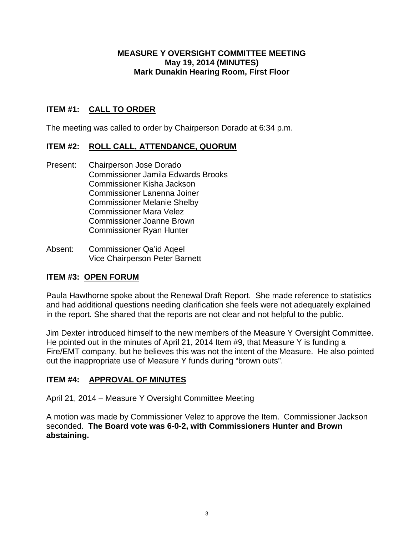### **MEASURE Y OVERSIGHT COMMITTEE MEETING May 19, 2014 (MINUTES) Mark Dunakin Hearing Room, First Floor**

## **ITEM #1: CALL TO ORDER**

The meeting was called to order by Chairperson Dorado at 6:34 p.m.

### **ITEM #2: ROLL CALL, ATTENDANCE, QUORUM**

- Present: Chairperson Jose Dorado Commissioner Jamila Edwards Brooks Commissioner Kisha Jackson Commissioner Lanenna Joiner Commissioner Melanie Shelby Commissioner Mara Velez Commissioner Joanne Brown Commissioner Ryan Hunter
- Absent: Commissioner Qa'id Aqeel Vice Chairperson Peter Barnett

## **ITEM #3: OPEN FORUM**

Paula Hawthorne spoke about the Renewal Draft Report. She made reference to statistics and had additional questions needing clarification she feels were not adequately explained in the report. She shared that the reports are not clear and not helpful to the public.

Jim Dexter introduced himself to the new members of the Measure Y Oversight Committee. He pointed out in the minutes of April 21, 2014 Item #9, that Measure Y is funding a Fire/EMT company, but he believes this was not the intent of the Measure. He also pointed out the inappropriate use of Measure Y funds during "brown outs".

### **ITEM #4: APPROVAL OF MINUTES**

April 21, 2014 – Measure Y Oversight Committee Meeting

A motion was made by Commissioner Velez to approve the Item. Commissioner Jackson seconded. **The Board vote was 6-0-2, with Commissioners Hunter and Brown abstaining.**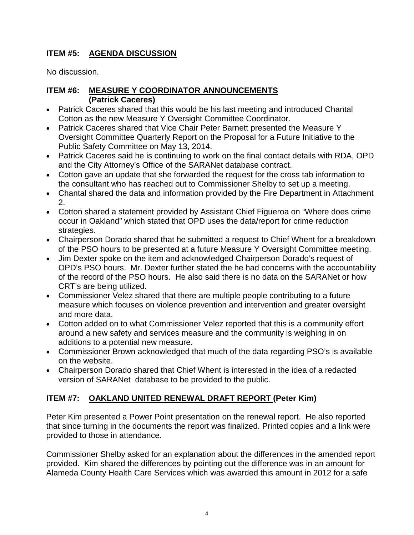## **ITEM #5: AGENDA DISCUSSION**

No discussion.

## **ITEM #6: MEASURE Y COORDINATOR ANNOUNCEMENTS (Patrick Caceres)**

- Patrick Caceres shared that this would be his last meeting and introduced Chantal Cotton as the new Measure Y Oversight Committee Coordinator.
- Patrick Caceres shared that Vice Chair Peter Barnett presented the Measure Y Oversight Committee Quarterly Report on the Proposal for a Future Initiative to the Public Safety Committee on May 13, 2014.
- Patrick Caceres said he is continuing to work on the final contact details with RDA, OPD and the City Attorney's Office of the SARANet database contract.
- Cotton gave an update that she forwarded the request for the cross tab information to the consultant who has reached out to Commissioner Shelby to set up a meeting.
- Chantal shared the data and information provided by the Fire Department in Attachment 2.
- Cotton shared a statement provided by Assistant Chief Figueroa on "Where does crime occur in Oakland" which stated that OPD uses the data/report for crime reduction strategies.
- Chairperson Dorado shared that he submitted a request to Chief Whent for a breakdown of the PSO hours to be presented at a future Measure Y Oversight Committee meeting.
- Jim Dexter spoke on the item and acknowledged Chairperson Dorado's request of OPD's PSO hours. Mr. Dexter further stated the he had concerns with the accountability of the record of the PSO hours. He also said there is no data on the SARANet or how CRT's are being utilized.
- Commissioner Velez shared that there are multiple people contributing to a future measure which focuses on violence prevention and intervention and greater oversight and more data.
- Cotton added on to what Commissioner Velez reported that this is a community effort around a new safety and services measure and the community is weighing in on additions to a potential new measure.
- Commissioner Brown acknowledged that much of the data regarding PSO's is available on the website.
- Chairperson Dorado shared that Chief Whent is interested in the idea of a redacted version of SARANet database to be provided to the public.

## **ITEM #7: OAKLAND UNITED RENEWAL DRAFT REPORT (Peter Kim)**

Peter Kim presented a Power Point presentation on the renewal report. He also reported that since turning in the documents the report was finalized. Printed copies and a link were provided to those in attendance.

Commissioner Shelby asked for an explanation about the differences in the amended report provided. Kim shared the differences by pointing out the difference was in an amount for Alameda County Health Care Services which was awarded this amount in 2012 for a safe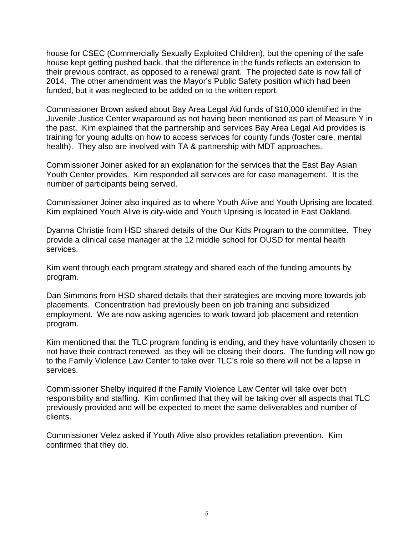house for CSEC (Commercially Sexually Exploited Children), but the opening of the safe house kept getting pushed back, that the difference in the funds reflects an extension to their previous contract, as opposed to a renewal grant. The projected date is now fall of 2014. The other amendment was the Mayor's Public Safety position which had been funded, but it was neglected to be added on to the written report.

Commissioner Brown asked about Bay Area Legal Aid funds of \$10,000 identified in the Juvenile Justice Center wraparound as not having been mentioned as part of Measure Y in the past. Kim explained that the partnership and services Bay Area Legal Aid provides is training for young adults on how to access services for county funds (foster care, mental health). They also are involved with TA & partnership with MDT approaches.

Commissioner Joiner asked for an explanation for the services that the East Bay Asian Youth Center provides. Kim responded all services are for case management. It is the number of participants being served.

Commissioner Joiner also inquired as to where Youth Alive and Youth Uprising are located. Kim explained Youth Alive is city-wide and Youth Uprising is located in East Oakland.

Dyanna Christie from HSD shared details of the Our Kids Program to the committee. They provide a clinical case manager at the 12 middle school for OUSD for mental health services.

Kim went through each program strategy and shared each of the funding amounts by program.

Dan Simmons from HSD shared details that their strategies are moving more towards job placements. Concentration had previously been on job training and subsidized employment. We are now asking agencies to work toward job placement and retention program.

Kim mentioned that the TLC program funding is ending, and they have voluntarily chosen to not have their contract renewed, as they will be closing their doors. The funding will now go to the Family Violence Law Center to take over TLC's role so there will not be a lapse in services.

Commissioner Shelby inquired if the Family Violence Law Center will take over both responsibility and staffing. Kim confirmed that they will be taking over all aspects that TLC previously provided and will be expected to meet the same deliverables and number of clients.

Commissioner Velez asked if Youth Alive also provides retaliation prevention. Kim confirmed that they do.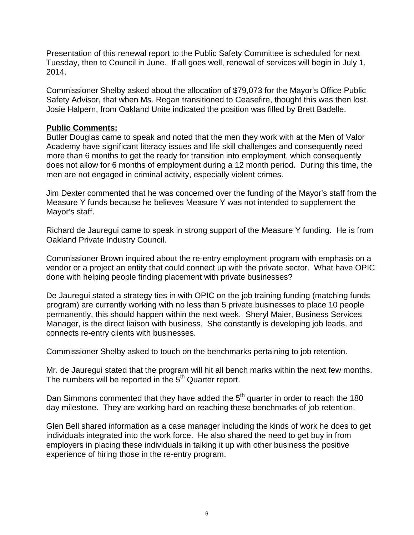Presentation of this renewal report to the Public Safety Committee is scheduled for next Tuesday, then to Council in June. If all goes well, renewal of services will begin in July 1, 2014.

Commissioner Shelby asked about the allocation of \$79,073 for the Mayor's Office Public Safety Advisor, that when Ms. Regan transitioned to Ceasefire, thought this was then lost. Josie Halpern, from Oakland Unite indicated the position was filled by Brett Badelle.

### **Public Comments:**

Butler Douglas came to speak and noted that the men they work with at the Men of Valor Academy have significant literacy issues and life skill challenges and consequently need more than 6 months to get the ready for transition into employment, which consequently does not allow for 6 months of employment during a 12 month period. During this time, the men are not engaged in criminal activity, especially violent crimes.

Jim Dexter commented that he was concerned over the funding of the Mayor's staff from the Measure Y funds because he believes Measure Y was not intended to supplement the Mayor's staff.

Richard de Jauregui came to speak in strong support of the Measure Y funding. He is from Oakland Private Industry Council.

Commissioner Brown inquired about the re-entry employment program with emphasis on a vendor or a project an entity that could connect up with the private sector. What have OPIC done with helping people finding placement with private businesses?

De Jauregui stated a strategy ties in with OPIC on the job training funding (matching funds program) are currently working with no less than 5 private businesses to place 10 people permanently, this should happen within the next week. Sheryl Maier, Business Services Manager, is the direct liaison with business. She constantly is developing job leads, and connects re-entry clients with businesses.

Commissioner Shelby asked to touch on the benchmarks pertaining to job retention.

Mr. de Jauregui stated that the program will hit all bench marks within the next few months. The numbers will be reported in the 5<sup>th</sup> Quarter report.

Dan Simmons commented that they have added the  $5<sup>th</sup>$  quarter in order to reach the 180 day milestone. They are working hard on reaching these benchmarks of job retention.

Glen Bell shared information as a case manager including the kinds of work he does to get individuals integrated into the work force. He also shared the need to get buy in from employers in placing these individuals in talking it up with other business the positive experience of hiring those in the re-entry program.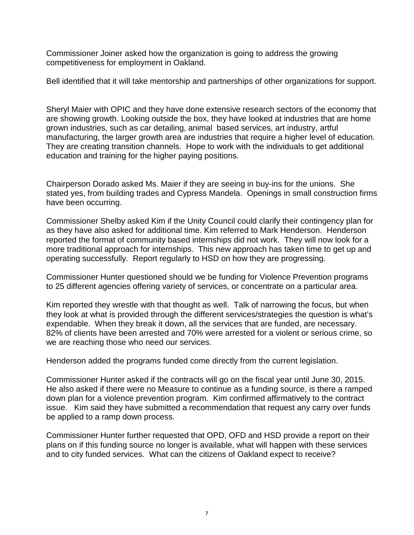Commissioner Joiner asked how the organization is going to address the growing competitiveness for employment in Oakland.

Bell identified that it will take mentorship and partnerships of other organizations for support.

Sheryl Maier with OPIC and they have done extensive research sectors of the economy that are showing growth. Looking outside the box, they have looked at industries that are home grown industries, such as car detailing, animal based services, art industry, artful manufacturing, the larger growth area are industries that require a higher level of education. They are creating transition channels. Hope to work with the individuals to get additional education and training for the higher paying positions.

Chairperson Dorado asked Ms. Maier if they are seeing in buy-ins for the unions. She stated yes, from building trades and Cypress Mandela. Openings in small construction firms have been occurring.

Commissioner Shelby asked Kim if the Unity Council could clarify their contingency plan for as they have also asked for additional time. Kim referred to Mark Henderson. Henderson reported the format of community based internships did not work. They will now look for a more traditional approach for internships. This new approach has taken time to get up and operating successfully. Report regularly to HSD on how they are progressing.

Commissioner Hunter questioned should we be funding for Violence Prevention programs to 25 different agencies offering variety of services, or concentrate on a particular area.

Kim reported they wrestle with that thought as well. Talk of narrowing the focus, but when they look at what is provided through the different services/strategies the question is what's expendable. When they break it down, all the services that are funded, are necessary. 82% of clients have been arrested and 70% were arrested for a violent or serious crime, so we are reaching those who need our services.

Henderson added the programs funded come directly from the current legislation.

Commissioner Hunter asked if the contracts will go on the fiscal year until June 30, 2015. He also asked if there were no Measure to continue as a funding source, is there a ramped down plan for a violence prevention program. Kim confirmed affirmatively to the contract issue. Kim said they have submitted a recommendation that request any carry over funds be applied to a ramp down process.

Commissioner Hunter further requested that OPD, OFD and HSD provide a report on their plans on if this funding source no longer is available, what will happen with these services and to city funded services. What can the citizens of Oakland expect to receive?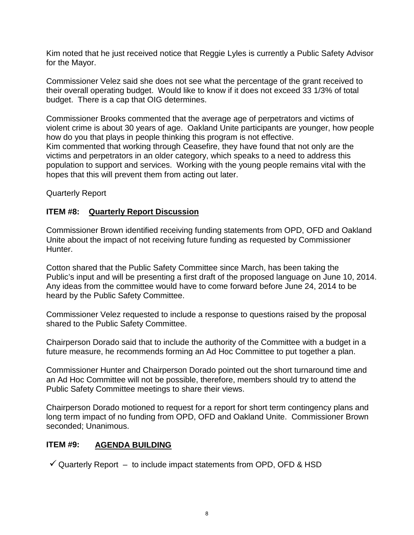Kim noted that he just received notice that Reggie Lyles is currently a Public Safety Advisor for the Mayor.

Commissioner Velez said she does not see what the percentage of the grant received to their overall operating budget. Would like to know if it does not exceed 33 1/3% of total budget. There is a cap that OIG determines.

Commissioner Brooks commented that the average age of perpetrators and victims of violent crime is about 30 years of age. Oakland Unite participants are younger, how people how do you that plays in people thinking this program is not effective. Kim commented that working through Ceasefire, they have found that not only are the victims and perpetrators in an older category, which speaks to a need to address this population to support and services. Working with the young people remains vital with the hopes that this will prevent them from acting out later.

Quarterly Report

### **ITEM #8: Quarterly Report Discussion**

Commissioner Brown identified receiving funding statements from OPD, OFD and Oakland Unite about the impact of not receiving future funding as requested by Commissioner Hunter.

Cotton shared that the Public Safety Committee since March, has been taking the Public's input and will be presenting a first draft of the proposed language on June 10, 2014. Any ideas from the committee would have to come forward before June 24, 2014 to be heard by the Public Safety Committee.

Commissioner Velez requested to include a response to questions raised by the proposal shared to the Public Safety Committee.

Chairperson Dorado said that to include the authority of the Committee with a budget in a future measure, he recommends forming an Ad Hoc Committee to put together a plan.

Commissioner Hunter and Chairperson Dorado pointed out the short turnaround time and an Ad Hoc Committee will not be possible, therefore, members should try to attend the Public Safety Committee meetings to share their views.

Chairperson Dorado motioned to request for a report for short term contingency plans and long term impact of no funding from OPD, OFD and Oakland Unite. Commissioner Brown seconded; Unanimous.

## **ITEM #9: AGENDA BUILDING**

 $\checkmark$  Quarterly Report – to include impact statements from OPD, OFD & HSD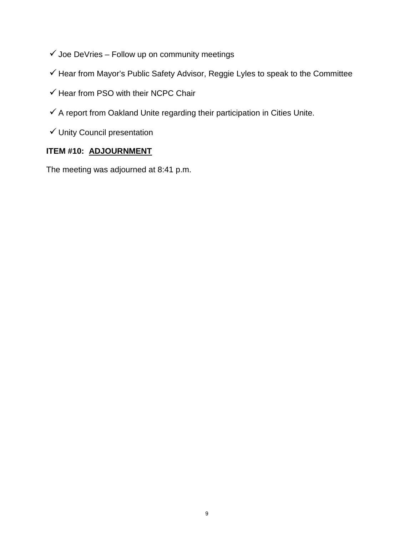- $\checkmark$  Joe DeVries Follow up on community meetings
- $\checkmark$  Hear from Mayor's Public Safety Advisor, Reggie Lyles to speak to the Committee
- $\checkmark$  Hear from PSO with their NCPC Chair
- $\checkmark$  A report from Oakland Unite regarding their participation in Cities Unite.
- $\checkmark$  Unity Council presentation

## **ITEM #10: ADJOURNMENT**

The meeting was adjourned at 8:41 p.m.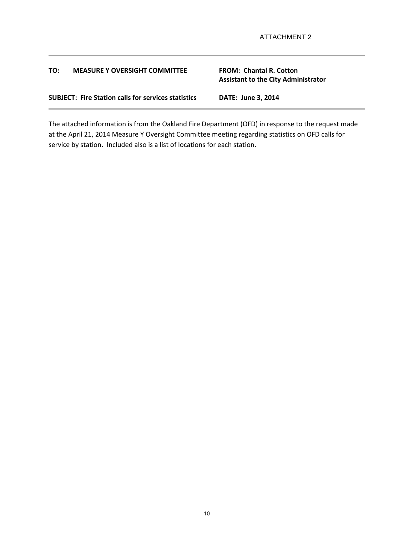#### **TO: MEASURE Y OVERSIGHT COMMITTEE FROM: Chantal R. Cotton**

# **Assistant to the City Administrator**

**SUBJECT: Fire Station calls for services statistics DATE: June 3, 2014**

The attached information is from the Oakland Fire Department (OFD) in response to the request made at the April 21, 2014 Measure Y Oversight Committee meeting regarding statistics on OFD calls for service by station. Included also is a list of locations for each station.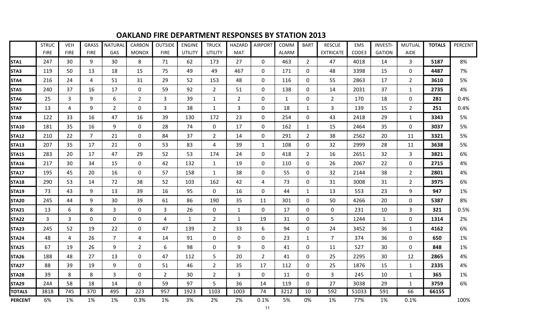|                  | <b>STRUC</b> | <b>VEH</b>  | <b>GRASS</b>   | <b>NATURAL</b> | <b>CARBON</b>  | <b>OUTSIDE</b> | <b>ENGINE</b>  | <b>TRUCK</b>     | <b>HAZARD</b>  | <b>AIRPORT</b>   | COMM         | <b>BART</b>      | <b>RESCUE</b>    | <b>EMS</b> | <b>INVESTI-</b> | <b>MUTUAL</b>  | <b>TOTALS</b> | PERCENT |
|------------------|--------------|-------------|----------------|----------------|----------------|----------------|----------------|------------------|----------------|------------------|--------------|------------------|------------------|------------|-----------------|----------------|---------------|---------|
|                  | <b>FIRE</b>  | <b>FIRE</b> | <b>FIRE</b>    | GAS            | <b>MONOX</b>   | <b>FIRE</b>    | <b>UTILITY</b> | <b>UTILITY</b>   | <b>MAT</b>     |                  | <b>ALARM</b> |                  | <b>EXTRICATE</b> | CODE3      | <b>GATION</b>   | <b>AIDE</b>    |               |         |
| STA1             | 247          | 30          | 9              | 30             | 8              | 71             | 62             | 173              | 27             | $\Omega$         | 463          | $\overline{2}$   | 47               | 4018       | 14              | 3              | 5187          | 8%      |
| STA3             | 119          | 50          | 13             | 18             | 15             | 75             | 49             | 49               | 467            | $\mathbf 0$      | 171          | $\mathbf 0$      | 48               | 3398       | 15              | $\mathbf 0$    | 4487          | 7%      |
| STA4             | 216          | 24          | 4              | 51             | 31             | 29             | 52             | 153              | 48             | $\mathbf 0$      | 116          | $\mathbf 0$      | 55               | 2863       | 17              | $\overline{2}$ | 3610          | 5%      |
| STA5             | 240          | 37          | 16             | 17             | 0              | 59             | 92             | $\overline{2}$   | 51             | $\mathbf 0$      | 138          | 0                | 14               | 2031       | 37              | $\mathbf{1}$   | 2735          | 4%      |
| STA6             | 25           | 3           | 9              | 6              | $\overline{2}$ | $\overline{3}$ | 39             | $\mathbf{1}$     | $\overline{2}$ | $\mathbf 0$      | $\mathbf{1}$ | $\mathbf 0$      | $\overline{2}$   | 170        | 18              | $\mathbf 0$    | 281           | 0.4%    |
| STA7             | 13           | 4           | 9              | $\overline{2}$ | $\mathbf 0$    | $\overline{3}$ | 38             | $\mathbf{1}$     | 3              | $\mathbf 0$      | 18           | $\mathbf{1}$     | 3                | 139        | 15              | $\overline{2}$ | 251           | 0.4%    |
| STA <sub>8</sub> | 122          | 33          | 16             | 47             | 16             | 39             | 130            | 172              | 23             | $\mathbf 0$      | 254          | $\mathbf 0$      | 43               | 2418       | 29              | $\mathbf{1}$   | 3343          | 5%      |
| <b>STA10</b>     | 181          | 35          | 16             | 9              | $\mathbf 0$    | 28             | 74             | $\mathbf{0}$     | 17             | $\mathbf{0}$     | 162          | $\mathbf{1}$     | 15               | 2464       | 35              | $\mathbf 0$    | 3037          | 5%      |
| <b>STA12</b>     | 210          | 22          | $\overline{7}$ | 21             | $\mathbf 0$    | 84             | 37             | $\overline{2}$   | 14             | $\mathbf 0$      | 291          | $\overline{2}$   | 38               | 2562       | 20              | 11             | 3321          | 5%      |
| <b>STA13</b>     | 207          | 35          | 17             | 21             | $\mathbf 0$    | 53             | 83             | $\overline{4}$   | 39             | $\mathbf{1}$     | 108          | $\mathbf 0$      | 32               | 2999       | 28              | 11             | 3638          | 5%      |
| <b>STA15</b>     | 283          | 20          | 17             | 47             | 29             | 52             | 53             | 174              | 24             | $\mathbf 0$      | 418          | $\overline{2}$   | 16               | 2651       | 32              | $\mathbf{3}$   | 3821          | 6%      |
| <b>STA16</b>     | 217          | 30          | 34             | 15             | $\mathbf 0$    | 42             | 132            | $\mathbf{1}$     | 19             | $\boldsymbol{0}$ | 110          | $\mathbf 0$      | 26               | 2067       | 22              | $\mathbf 0$    | 2715          | 4%      |
| <b>STA17</b>     | 195          | 45          | 20             | 16             | $\mathbf 0$    | 57             | 158            | $\mathbf{1}$     | 38             | $\mathbf 0$      | 55           | $\mathbf 0$      | 32               | 2144       | 38              | $\overline{2}$ | 2801          | 4%      |
| <b>STA18</b>     | 290          | 53          | 14             | 72             | 38             | 52             | 103            | 162              | 42             | $\overline{4}$   | 73           | $\mathbf 0$      | 31               | 3008       | 31              | $\overline{2}$ | 3975          | 6%      |
| <b>STA19</b>     | 73           | 43          | 9              | 13             | 39             | 16             | 95             | $\mathbf 0$      | 16             | $\mathbf 0$      | 44           | $\mathbf{1}$     | 13               | 553        | 23              | 9              | 947           | 1%      |
| <b>STA20</b>     | 245          | 44          | 9              | 30             | 39             | 61             | 86             | 190              | 35             | 11               | 301          | $\mathbf 0$      | 50               | 4266       | 20              | $\mathbf 0$    | 5387          | 8%      |
| <b>STA21</b>     | 13           | 6           | 8              | 3              | $\mathbf{0}$   | 3              | 26             | $\mathbf{0}$     | 1              | $\mathbf 0$      | 17           | $\mathbf{0}$     | $\Omega$         | 231        | 10              | 3              | 321           | 0.5%    |
| <b>STA22</b>     | 3            | 3           | $\mathbf 0$    | $\mathbf 0$    | $\mathbf 0$    | 4              | $\mathbf{1}$   | $\overline{2}$   | $\mathbf 1$    | 19               | 31           | $\mathbf 0$      | 5                | 1244       | $\mathbf{1}$    | $\mathbf 0$    | 1314          | 2%      |
| <b>STA23</b>     | 245          | 52          | 19             | 22             | $\mathbf 0$    | 47             | 139            | $\overline{2}$   | 33             | 6                | 94           | $\boldsymbol{0}$ | 24               | 3452       | 36              | $\mathbf{1}$   | 4162          | 6%      |
| <b>STA24</b>     | 48           | 4           | 26             | 7              | 4              | 14             | 91             | $\mathbf 0$      | $\mathbf 0$    | $\mathbf 0$      | 23           | $\mathbf{1}$     | 7                | 374        | 36              | $\mathbf 0$    | 650           | 1%      |
| <b>STA25</b>     | 67           | 19          | 26             | $9\,$          | $\overline{2}$ | 6              | 98             | $\boldsymbol{0}$ | 9              | $\pmb{0}$        | 41           | $\boldsymbol{0}$ | 11               | 527        | 30              | $\mathbf 0$    | 848           | 1%      |
| <b>STA26</b>     | 188          | 48          | 27             | 13             | $\mathbf 0$    | 47             | 112            | 5                | 20             | $\overline{2}$   | 41           | 0                | 25               | 2295       | 30              | 12             | 2865          | 4%      |
| <b>STA27</b>     | 88           | 39          | 19             | 9              | $\mathbf 0$    | 51             | 46             | $\overline{2}$   | 35             | 17               | 112          | $\mathbf 0$      | 25               | 1876       | 15              | $\mathbf{1}$   | 2335          | 4%      |
| <b>STA28</b>     | 39           | 8           | 8              | $\overline{3}$ | $\mathbf 0$    | $\overline{2}$ | 30             | $\overline{2}$   | 3              | $\mathbf 0$      | 11           | $\mathbf 0$      | 3                | 245        | 10              | $\mathbf{1}$   | 365           | 1%      |
| <b>STA29</b>     | 244          | 58          | 18             | 14             | 0              | 59             | 97             | 5                | 36             | 14               | 119          | $\mathbf 0$      | 27               | 3038       | 29              | $\mathbf{1}$   | 3759          | 6%      |
| <b>TOTALS</b>    | 3818         | 745         | 370            | 495            | 223            | 957            | 1923           | 1103             | 1003           | 74               | 3212         | 10               | 592              | 51033      | 591             | 66             | 66155         |         |
| <b>PERCENT</b>   | 6%           | 1%          | 1%             | 1%             | 0.3%           | 1%             | 3%             | 2%               | 2%             | 0.1%             | 5%           | 0%               | 1%               | 77%        | 1%              | 0.1%           |               | 100%    |

## **OAKLAND FIRE DEPARTMENT RESPONSES BY STATION 2013**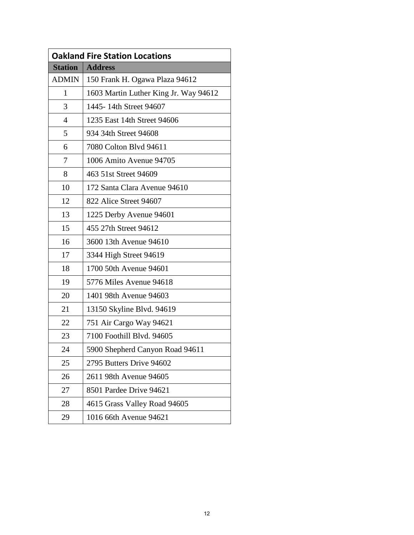|                | <b>Oakland Fire Station Locations</b> |
|----------------|---------------------------------------|
| <b>Station</b> | <b>Address</b>                        |
| <b>ADMIN</b>   | 150 Frank H. Ogawa Plaza 94612        |
| $\mathbf{1}$   | 1603 Martin Luther King Jr. Way 94612 |
| 3              | 1445-14th Street 94607                |
| 4              | 1235 East 14th Street 94606           |
| 5              | 934 34th Street 94608                 |
| 6              | 7080 Colton Blvd 94611                |
| 7              | 1006 Amito Avenue 94705               |
| 8              | 463 51st Street 94609                 |
| 10             | 172 Santa Clara Avenue 94610          |
| 12             | 822 Alice Street 94607                |
| 13             | 1225 Derby Avenue 94601               |
| 15             | 455 27th Street 94612                 |
| 16             | 3600 13th Avenue 94610                |
| 17             | 3344 High Street 94619                |
| 18             | 1700 50th Avenue 94601                |
| 19             | 5776 Miles Avenue 94618               |
| 20             | 1401 98th Avenue 94603                |
| 21             | 13150 Skyline Blvd. 94619             |
| 22             | 751 Air Cargo Way 94621               |
| 23             | 7100 Foothill Blvd. 94605             |
| 24             | 5900 Shepherd Canyon Road 94611       |
| 25             | 2795 Butters Drive 94602              |
| 26             | 2611 98th Avenue 94605                |
| 27             | 8501 Pardee Drive 94621               |
| 28             | 4615 Grass Valley Road 94605          |
| 29             | 1016 66th Avenue 94621                |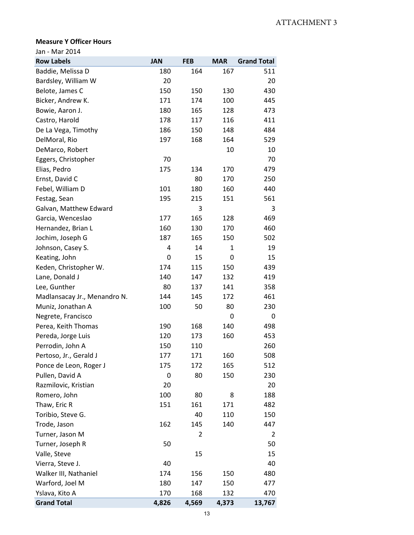#### **Measure Y Officer Hours**

Jan - Mar 2014

| <b>Row Labels</b>            | <b>JAN</b> | <b>FEB</b> | <b>MAR</b> | <b>Grand Total</b> |
|------------------------------|------------|------------|------------|--------------------|
| Baddie, Melissa D            | 180        | 164        | 167        | 511                |
| Bardsley, William W          | 20         |            |            | 20                 |
| Belote, James C              | 150        | 150        | 130        | 430                |
| Bicker, Andrew K.            | 171        | 174        | 100        | 445                |
| Bowie, Aaron J.              | 180        | 165        | 128        | 473                |
| Castro, Harold               | 178        | 117        | 116        | 411                |
| De La Vega, Timothy          | 186        | 150        | 148        | 484                |
| DelMoral, Rio                | 197        | 168        | 164        | 529                |
| DeMarco, Robert              |            |            | 10         | 10                 |
| Eggers, Christopher          | 70         |            |            | 70                 |
| Elias, Pedro                 | 175        | 134        | 170        | 479                |
| Ernst, David C               |            | 80         | 170        | 250                |
| Febel, William D             | 101        | 180        | 160        | 440                |
| Festag, Sean                 | 195        | 215        | 151        | 561                |
| Galvan, Matthew Edward       |            | 3          |            | 3                  |
| Garcia, Wenceslao            | 177        | 165        | 128        | 469                |
| Hernandez, Brian L           | 160        | 130        | 170        | 460                |
| Jochim, Joseph G             | 187        | 165        | 150        | 502                |
| Johnson, Casey S.            | 4          | 14         | 1          | 19                 |
| Keating, John                | 0          | 15         | 0          | 15                 |
| Keden, Christopher W.        | 174        | 115        | 150        | 439                |
| Lane, Donald J               | 140        | 147        | 132        | 419                |
| Lee, Gunther                 | 80         | 137        | 141        | 358                |
| Madlansacay Jr., Menandro N. | 144        | 145        | 172        | 461                |
| Muniz, Jonathan A            | 100        | 50         | 80         | 230                |
| Negrete, Francisco           |            |            | 0          | 0                  |
| Perea, Keith Thomas          | 190        | 168        | 140        | 498                |
| Pereda, Jorge Luis           | 120        | 173        | 160        | 453                |
| Perrodin, John A             | 150        | 110        |            | 260                |
| Pertoso, Jr., Gerald J       | 177        | 171        | 160        | 508                |
| Ponce de Leon, Roger J       | 175        | 172        | 165        | 512                |
| Pullen, David A              | 0          | 80         | 150        | 230                |
| Razmilovic, Kristian         | 20         |            |            | 20                 |
| Romero, John                 | 100        | 80         | 8          | 188                |
| Thaw, Eric R                 | 151        | 161        | 171        | 482                |
| Toribio, Steve G.            |            | 40         | 110        | 150                |
| Trode, Jason                 | 162        | 145        | 140        | 447                |
| Turner, Jason M              |            | 2          |            | 2                  |
| Turner, Joseph R             | 50         |            |            | 50                 |
| Valle, Steve                 |            | 15         |            | 15                 |
| Vierra, Steve J.             | 40         |            |            | 40                 |
| Walker III, Nathaniel        | 174        | 156        | 150        | 480                |
| Warford, Joel M              | 180        | 147        | 150        | 477                |
| Yslava, Kito A               | 170        | 168        | 132        | 470                |
| <b>Grand Total</b>           | 4,826      | 4,569      | 4,373      | 13,767             |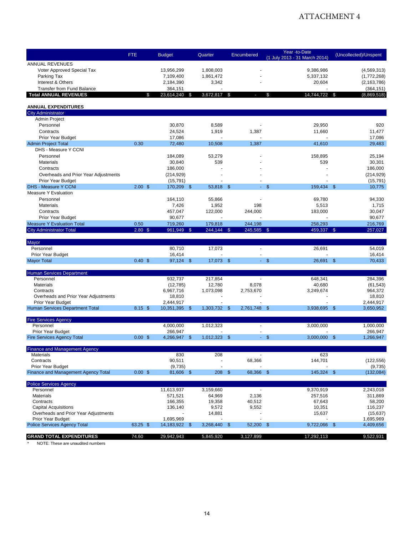## ATTACHMENT 4

|                                                          | <b>FTE</b>        | <b>Budget</b>              | Quarter      | Encumbered       | Year -to-Date<br>(1 July 2013 - 31 March 2014) | (Uncollected)/Unspent  |
|----------------------------------------------------------|-------------------|----------------------------|--------------|------------------|------------------------------------------------|------------------------|
| <b>ANNUAL REVENUES</b>                                   |                   |                            |              |                  |                                                |                        |
| Voter Approved Special Tax                               |                   | 13,956,299                 | 1,808,003    |                  | 9.386.986                                      | (4, 569, 313)          |
| Parking Tax                                              |                   | 7,109,400                  | 1,861,472    |                  | 5,337,132                                      | (1,772,268)            |
| Interest & Others                                        |                   | 2,184,390                  | 3,342        |                  | 20,604                                         | (2, 163, 786)          |
| <b>Transfer from Fund Balance</b>                        |                   | 364,151                    |              |                  |                                                | (364, 151)             |
| <b>Total ANNUAL REVENUES</b>                             | \$                | 23,614,240<br>\$           | 3,672,817 \$ |                  | 14,744,722 \$<br>\$                            | (8,869,518)            |
| <b>ANNUAL EXPENDITURES</b>                               |                   |                            |              |                  |                                                |                        |
| <b>City Administrator</b>                                |                   |                            |              |                  |                                                |                        |
| Admin Project                                            |                   |                            |              |                  |                                                |                        |
| Personnel                                                |                   | 30,870                     | 8,589        |                  | 29,950                                         | 920                    |
| Contracts                                                |                   | 24.524                     | 1,919        | 1,387            | 11,660                                         | 11,477                 |
| Prior Year Budget                                        |                   | 17,086                     |              |                  |                                                | 17,086                 |
| <b>Admin Project Total</b>                               | 0.30              | 72,480                     | 10,508       | 1,387            | 41,610                                         | 29.483                 |
| DHS - Measure Y CCNI                                     |                   |                            |              |                  |                                                |                        |
| Personnel                                                |                   | 184,089                    | 53,279       |                  | 158,895                                        | 25,194                 |
| <b>Materials</b>                                         |                   | 30,840                     | 539          |                  | 539                                            | 30,301                 |
| Contracts                                                |                   | 186,000                    |              |                  |                                                | 186,000                |
| Overheads and Prior Year Adjustments                     |                   | (214, 929)                 |              |                  |                                                | (214, 929)             |
| <b>Prior Year Budget</b>                                 |                   | (15, 791)                  |              |                  |                                                | (15, 791)              |
| <b>DHS - Measure Y CCNI</b>                              | 2.00 <sup>5</sup> | 170,209 \$                 | 53,818 \$    | a i              | 159,434 \$<br>\$                               | 10,775                 |
| Measure Y Evaluation                                     |                   |                            |              |                  |                                                |                        |
| Personnel                                                |                   | 164,110                    | 55,866       |                  | 69,780                                         | 94,330                 |
| <b>Materials</b>                                         |                   | 7,426                      | 1,952        | 198              | 5,513                                          | 1,715                  |
| Contracts                                                |                   | 457,047                    | 122,000      | 244,000          | 183,000                                        | 30,047                 |
| Prior Year Budget                                        |                   | 90,677                     |              |                  |                                                | 90,677                 |
| <b>Measure Y Evaluation Total</b>                        | 0.50              | 719,260                    | 179,818      | 244,198          | 258,293                                        | 216,769                |
| <b>City Administrator Total</b>                          | $2.80$ \$         | 961,949 \$                 | 244,144 \$   | 245,585 \$       | 459,337 \$                                     | 257,027                |
| Mayor                                                    |                   |                            |              |                  |                                                |                        |
| Personnel                                                |                   | 80,710                     | 17,073       | ÷.               | 26,691                                         | 54,019                 |
| Prior Year Budget                                        |                   | 16,414                     |              |                  |                                                | 16,414                 |
| <b>Mayor Total</b>                                       | 0.40~\$           | 97,124 \$                  | 17,073 \$    | A.               | $\mathbb{S}$<br>26,691 \$                      | 70,433                 |
| <b>Human Services Department</b>                         |                   |                            |              |                  |                                                |                        |
| Personnel                                                |                   | 932,737                    | 217,854      | $\blacksquare$   | 648,341                                        | 284,396                |
| <b>Materials</b>                                         |                   | (12, 785)                  | 12,780       | 8,078            | 40,680                                         | (61, 543)              |
| Contracts                                                |                   | 6,967,716                  | 1,073,098    | 2,753,670        | 3,249,674                                      | 964,372                |
| Overheads and Prior Year Adjustments                     |                   | 18,810                     |              |                  |                                                | 18,810                 |
| Prior Year Budget                                        |                   | 2,444,917                  |              |                  |                                                | 2,444,917              |
| Human Services Department Total                          | $8.15$ \$         | 10,351,395<br>-\$          | 1,303,732 \$ | 2,761,748        | $\mathsf{\$}$<br>3,938,695 \$                  | 3,650,952              |
| <b>Fire Services Agency</b>                              |                   |                            |              |                  |                                                |                        |
| Personnel                                                |                   | 4,000,000                  | 1,012,323    | ÷.               | 3,000,000                                      | 1,000,000              |
| Prior Year Budget                                        |                   | 266,947                    |              |                  |                                                | 266,947                |
| <b>Fire Services Agency Total</b>                        | $0.00$ \$         | 4,266,947 \$               | 1,012,323 \$ |                  | $-$ \$<br>$3,000,000$ \$                       | 1,266,947              |
| <b>Finance and Management Agency</b>                     |                   |                            |              |                  |                                                |                        |
| Materials                                                |                   | 830                        | 208          |                  | 623                                            |                        |
| Contracts                                                |                   | 90,511                     |              | 68,366           | 144,701                                        | (122, 556)             |
| Prior Year Budget                                        |                   | (9,735)                    |              |                  |                                                | (9,735)                |
| Finance and Management Agency Total                      | $0.00$ \$         | 81,606 \$                  | 208          | 68,366 \$<br>-\$ | 145,324 \$                                     | (132,084)              |
| <b>Police Services Agency</b>                            |                   |                            |              |                  |                                                |                        |
| Personnel                                                |                   | 11,613,937                 | 3,159,660    |                  | 9,370,919                                      | 2,243,018              |
| Materials                                                |                   | 571,521                    | 64,969       | 2,136            | 257,516                                        | 311,869                |
| Contracts                                                |                   | 166,355                    | 19,358       | 40,512           | 67,643                                         | 58,200                 |
| <b>Capital Acquisitions</b>                              |                   | 136,140                    | 9,572        | 9,552            | 10,351                                         | 116,237                |
| Overheads and Prior Year Adjustments                     |                   |                            | 14,881       |                  | 15,637                                         | (15, 637)              |
| Prior Year Budget<br><b>Police Services Agency Total</b> | 63.25 \$          | 1,695,969<br>14,183,922 \$ | 3,268,440 \$ | 52,200 \$        | 9,722,066 \$                                   | 1,695,969<br>4,409,656 |
|                                                          |                   |                            |              |                  |                                                |                        |
| <b>GRAND TOTAL EXPENDITURES</b>                          | 74.60             | 29,942,943                 | 5,845,920    | 3,127,899        | 17,292,113                                     | 9,522,931              |
| NOTE: These are unaudited numbers                        |                   |                            |              |                  |                                                |                        |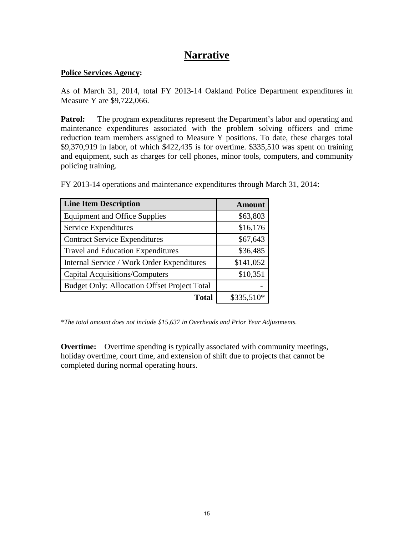## **Narrative**

#### **Police Services Agency:**

As of March 31, 2014, total FY 2013-14 Oakland Police Department expenditures in Measure Y are \$9,722,066.

**Patrol:** The program expenditures represent the Department's labor and operating and maintenance expenditures associated with the problem solving officers and crime reduction team members assigned to Measure Y positions. To date, these charges total \$9,370,919 in labor, of which \$422,435 is for overtime. \$335,510 was spent on training and equipment, such as charges for cell phones, minor tools, computers, and community policing training.

| <b>Line Item Description</b>                        | <b>Amount</b> |
|-----------------------------------------------------|---------------|
| <b>Equipment and Office Supplies</b>                | \$63,803      |
| Service Expenditures                                | \$16,176      |
| <b>Contract Service Expenditures</b>                | \$67,643      |
| <b>Travel and Education Expenditures</b>            | \$36,485      |
| Internal Service / Work Order Expenditures          | \$141,052     |
| <b>Capital Acquisitions/Computers</b>               | \$10,351      |
| <b>Budget Only: Allocation Offset Project Total</b> |               |
| <b>Total</b>                                        | \$335,510*    |

FY 2013-14 operations and maintenance expenditures through March 31, 2014:

*\*The total amount does not include \$15,637 in Overheads and Prior Year Adjustments.*

**Overtime:** Overtime spending is typically associated with community meetings, holiday overtime, court time, and extension of shift due to projects that cannot be completed during normal operating hours.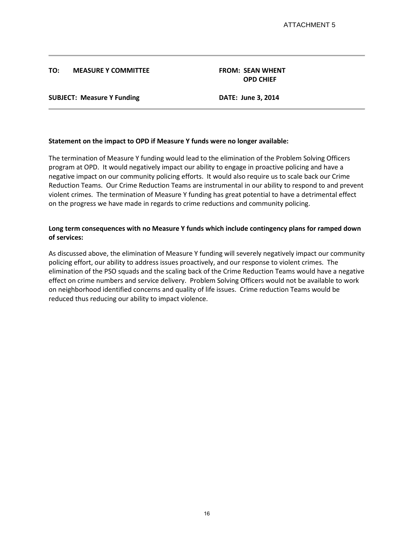#### **TO: MEASURE Y COMMITTEE FROM: SEAN WHENT**

**OPD CHIEF**

#### **SUBJECT: Measure Y Funding DATE: June 3, 2014**

#### **Statement on the impact to OPD if Measure Y funds were no longer available:**

The termination of Measure Y funding would lead to the elimination of the Problem Solving Officers program at OPD. It would negatively impact our ability to engage in proactive policing and have a negative impact on our community policing efforts. It would also require us to scale back our Crime Reduction Teams. Our Crime Reduction Teams are instrumental in our ability to respond to and prevent violent crimes. The termination of Measure Y funding has great potential to have a detrimental effect on the progress we have made in regards to crime reductions and community policing.

#### **Long term consequences with no Measure Y funds which include contingency plans for ramped down of services:**

As discussed above, the elimination of Measure Y funding will severely negatively impact our community policing effort, our ability to address issues proactively, and our response to violent crimes. The elimination of the PSO squads and the scaling back of the Crime Reduction Teams would have a negative effect on crime numbers and service delivery. Problem Solving Officers would not be available to work on neighborhood identified concerns and quality of life issues. Crime reduction Teams would be reduced thus reducing our ability to impact violence.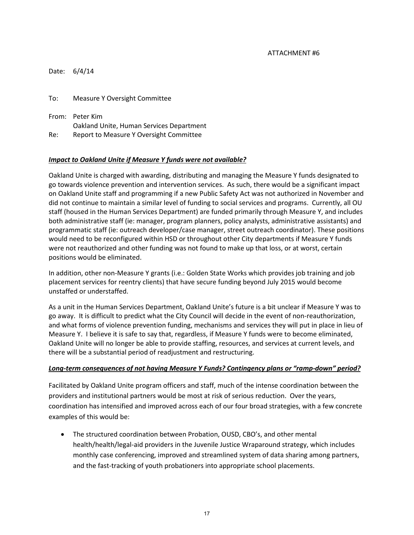#### ATTACHMENT #6

|        | Date: 6/4/14                                                |
|--------|-------------------------------------------------------------|
| To: To | Measure Y Oversight Committee                               |
|        | From: Peter Kim<br>Oakland Unite, Human Services Department |
| Re: I  | Report to Measure Y Oversight Committee                     |

#### *Impact to Oakland Unite if Measure Y funds were not available?*

Oakland Unite is charged with awarding, distributing and managing the Measure Y funds designated to go towards violence prevention and intervention services. As such, there would be a significant impact on Oakland Unite staff and programming if a new Public Safety Act was not authorized in November and did not continue to maintain a similar level of funding to social services and programs. Currently, all OU staff (housed in the Human Services Department) are funded primarily through Measure Y, and includes both administrative staff (ie: manager, program planners, policy analysts, administrative assistants) and programmatic staff (ie: outreach developer/case manager, street outreach coordinator). These positions would need to be reconfigured within HSD or throughout other City departments if Measure Y funds were not reauthorized and other funding was not found to make up that loss, or at worst, certain positions would be eliminated.

In addition, other non-Measure Y grants (i.e.: Golden State Works which provides job training and job placement services for reentry clients) that have secure funding beyond July 2015 would become unstaffed or understaffed.

As a unit in the Human Services Department, Oakland Unite's future is a bit unclear if Measure Y was to go away. It is difficult to predict what the City Council will decide in the event of non-reauthorization, and what forms of violence prevention funding, mechanisms and services they will put in place in lieu of Measure Y. I believe it is safe to say that, regardless, if Measure Y funds were to become eliminated, Oakland Unite will no longer be able to provide staffing, resources, and services at current levels, and there will be a substantial period of readjustment and restructuring.

#### *Long-term consequences of not having Measure Y Funds? Contingency plans or "ramp-down" period?*

Facilitated by Oakland Unite program officers and staff, much of the intense coordination between the providers and institutional partners would be most at risk of serious reduction. Over the years, coordination has intensified and improved across each of our four broad strategies, with a few concrete examples of this would be:

• The structured coordination between Probation, OUSD, CBO's, and other mental health/health/legal-aid providers in the Juvenile Justice Wraparound strategy, which includes monthly case conferencing, improved and streamlined system of data sharing among partners, and the fast-tracking of youth probationers into appropriate school placements.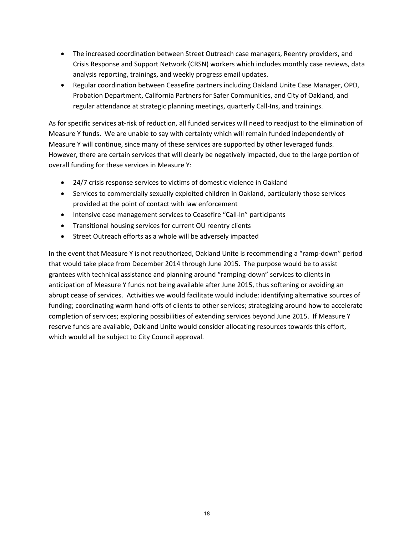- The increased coordination between Street Outreach case managers, Reentry providers, and Crisis Response and Support Network (CRSN) workers which includes monthly case reviews, data analysis reporting, trainings, and weekly progress email updates.
- Regular coordination between Ceasefire partners including Oakland Unite Case Manager, OPD, Probation Department, California Partners for Safer Communities, and City of Oakland, and regular attendance at strategic planning meetings, quarterly Call-Ins, and trainings.

As for specific services at-risk of reduction, all funded services will need to readjust to the elimination of Measure Y funds. We are unable to say with certainty which will remain funded independently of Measure Y will continue, since many of these services are supported by other leveraged funds. However, there are certain services that will clearly be negatively impacted, due to the large portion of overall funding for these services in Measure Y:

- 24/7 crisis response services to victims of domestic violence in Oakland
- Services to commercially sexually exploited children in Oakland, particularly those services provided at the point of contact with law enforcement
- Intensive case management services to Ceasefire "Call-In" participants
- Transitional housing services for current OU reentry clients
- Street Outreach efforts as a whole will be adversely impacted

In the event that Measure Y is not reauthorized, Oakland Unite is recommending a "ramp-down" period that would take place from December 2014 through June 2015. The purpose would be to assist grantees with technical assistance and planning around "ramping-down" services to clients in anticipation of Measure Y funds not being available after June 2015, thus softening or avoiding an abrupt cease of services. Activities we would facilitate would include: identifying alternative sources of funding; coordinating warm hand-offs of clients to other services; strategizing around how to accelerate completion of services; exploring possibilities of extending services beyond June 2015. If Measure Y reserve funds are available, Oakland Unite would consider allocating resources towards this effort, which would all be subject to City Council approval.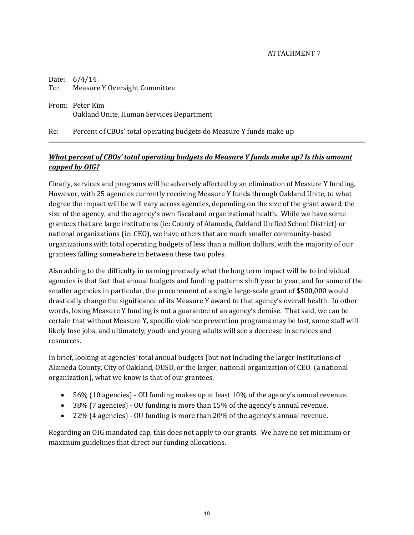#### ATTACHMENT 7

|     | Date: $6/4/14$<br>To: Measure Y Oversight Committee                 |
|-----|---------------------------------------------------------------------|
|     | From: Peter Kim<br>Oakland Unite, Human Services Department         |
| Re: | Percent of CBOs' total operating budgets do Measure Y funds make up |

## *What percent of CBOs' total operating budgets do Measure Y funds make up? Is this amount capped by OIG?*

Clearly, services and programs will be adversely affected by an elimination of Measure Y funding. However, with 25 agencies currently receiving Measure Y funds through Oakland Unite, to what degree the impact will be will vary across agencies, depending on the size of the grant award, the size of the agency, and the agency's own fiscal and organizational health. While we have some grantees that are large institutions (ie: County of Alameda, Oakland Unified School District) or national organizations (ie: CEO), we have others that are much smaller community-based organizations with total operating budgets of less than a million dollars, with the majority of our grantees falling somewhere in between these two poles.

Also adding to the difficulty in naming precisely what the long term impact will be to individual agencies is that fact that annual budgets and funding patterns shift year to year, and for some of the smaller agencies in particular, the procurement of a single large-scale grant of \$500,000 would drastically change the significance of its Measure Y award to that agency's overall health. In other words, losing Measure Y funding is not a guarantee of an agency's demise. That said, we can be certain that without Measure Y, specific violence prevention programs may be lost, some staff will likely lose jobs, and ultimately, youth and young adults will see a decrease in services and resources.

In brief, looking at agencies' total annual budgets (but not including the larger institutions of Alameda County, City of Oakland, OUSD, or the larger, national organization of CEO (a national organization), what we know is that of our grantees,

- 56% (10 agencies) OU funding makes up at least 10% of the agency's annual revenue.
- 38% (7 agencies) OU funding is more than 15% of the agency's annual revenue.
- 22% (4 agencies) OU funding is more than 20% of the agency's annual revenue.

Regarding an OIG mandated cap, this does not apply to our grants. We have no set minimum or maximum guidelines that direct our funding allocations.